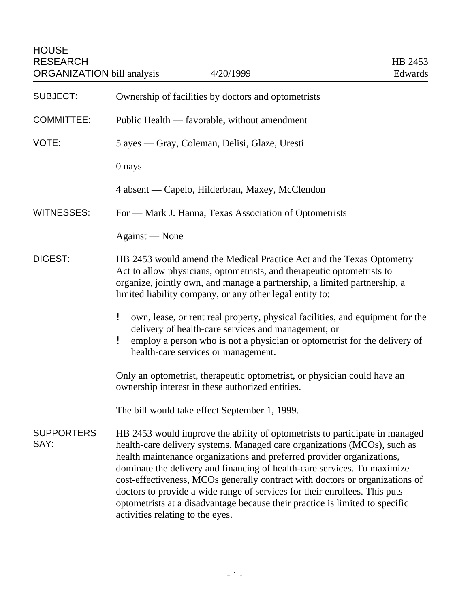| <b>SUBJECT:</b>           | Ownership of facilities by doctors and optometrists                                                                                                                                                                                                                                                                                                                                                                                                                                                                                                                                             |
|---------------------------|-------------------------------------------------------------------------------------------------------------------------------------------------------------------------------------------------------------------------------------------------------------------------------------------------------------------------------------------------------------------------------------------------------------------------------------------------------------------------------------------------------------------------------------------------------------------------------------------------|
| <b>COMMITTEE:</b>         | Public Health — favorable, without amendment                                                                                                                                                                                                                                                                                                                                                                                                                                                                                                                                                    |
| VOTE:                     | 5 ayes — Gray, Coleman, Delisi, Glaze, Uresti                                                                                                                                                                                                                                                                                                                                                                                                                                                                                                                                                   |
|                           | 0 nays                                                                                                                                                                                                                                                                                                                                                                                                                                                                                                                                                                                          |
|                           | 4 absent — Capelo, Hilderbran, Maxey, McClendon                                                                                                                                                                                                                                                                                                                                                                                                                                                                                                                                                 |
| <b>WITNESSES:</b>         | For — Mark J. Hanna, Texas Association of Optometrists                                                                                                                                                                                                                                                                                                                                                                                                                                                                                                                                          |
|                           | Against — None                                                                                                                                                                                                                                                                                                                                                                                                                                                                                                                                                                                  |
| DIGEST:                   | HB 2453 would amend the Medical Practice Act and the Texas Optometry<br>Act to allow physicians, optometrists, and therapeutic optometrists to<br>organize, jointly own, and manage a partnership, a limited partnership, a<br>limited liability company, or any other legal entity to:                                                                                                                                                                                                                                                                                                         |
|                           | ŗ<br>own, lease, or rent real property, physical facilities, and equipment for the<br>delivery of health-care services and management; or<br>employ a person who is not a physician or optometrist for the delivery of<br>ŗ<br>health-care services or management.                                                                                                                                                                                                                                                                                                                              |
|                           | Only an optometrist, therapeutic optometrist, or physician could have an<br>ownership interest in these authorized entities.                                                                                                                                                                                                                                                                                                                                                                                                                                                                    |
|                           | The bill would take effect September 1, 1999.                                                                                                                                                                                                                                                                                                                                                                                                                                                                                                                                                   |
| <b>SUPPORTERS</b><br>SAY: | HB 2453 would improve the ability of optometrists to participate in managed<br>health-care delivery systems. Managed care organizations (MCOs), such as<br>health maintenance organizations and preferred provider organizations,<br>dominate the delivery and financing of health-care services. To maximize<br>cost-effectiveness, MCOs generally contract with doctors or organizations of<br>doctors to provide a wide range of services for their enrollees. This puts<br>optometrists at a disadvantage because their practice is limited to specific<br>activities relating to the eyes. |